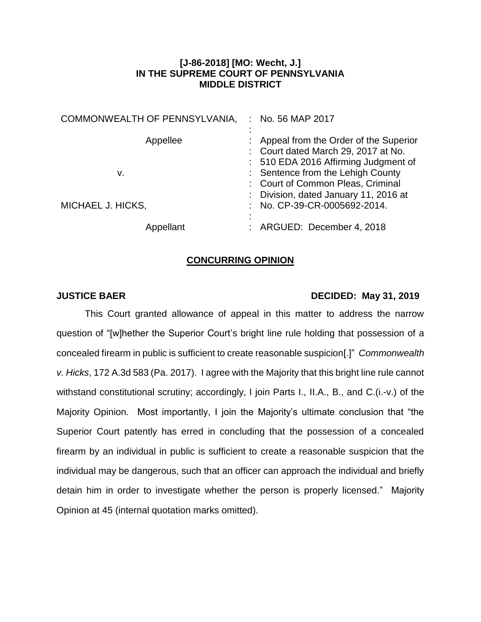## **[J-86-2018] [MO: Wecht, J.] IN THE SUPREME COURT OF PENNSYLVANIA MIDDLE DISTRICT**

| COMMONWEALTH OF PENNSYLVANIA, | No. 56 MAP 2017<br>÷                                                                                                                                        |
|-------------------------------|-------------------------------------------------------------------------------------------------------------------------------------------------------------|
| Appellee<br>v.                | : Appeal from the Order of the Superior<br>: Court dated March 29, 2017 at No.<br>: 510 EDA 2016 Affirming Judgment of<br>: Sentence from the Lehigh County |
| MICHAEL J. HICKS,             | : Court of Common Pleas, Criminal<br>: Division, dated January 11, 2016 at<br>: No. CP-39-CR-0005692-2014.                                                  |
| Appellant                     | : ARGUED: December 4, 2018                                                                                                                                  |

## **CONCURRING OPINION**

## **JUSTICE BAER DECIDED: May 31, 2019**

This Court granted allowance of appeal in this matter to address the narrow question of "[w]hether the Superior Court's bright line rule holding that possession of a concealed firearm in public is sufficient to create reasonable suspicion[.]" *Commonwealth v. Hicks*, 172 A.3d 583 (Pa. 2017). I agree with the Majority that this bright line rule cannot withstand constitutional scrutiny; accordingly, I join Parts I., II.A., B., and C.(i.-v.) of the Majority Opinion. Most importantly, I join the Majority's ultimate conclusion that "the Superior Court patently has erred in concluding that the possession of a concealed firearm by an individual in public is sufficient to create a reasonable suspicion that the individual may be dangerous, such that an officer can approach the individual and briefly detain him in order to investigate whether the person is properly licensed." Majority Opinion at 45 (internal quotation marks omitted).